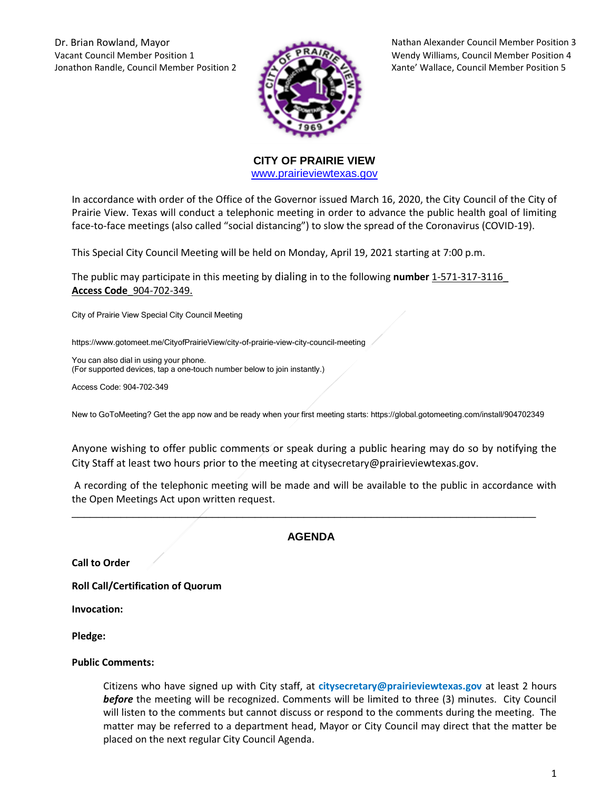Dr. Brian Rowland, Mayor Nathan Alexander Council Member Position 3 Vacant Council Member Position 1 Wendy Williams, Council Member Position 4 Jonathon Randle, Council Member Position 2 Xante' Wallace, Council Member Position 5



**CITY OF PRAIRIE VIEW**  [www.prairieviewtexas.gov](http://www.prairieviewtexas.gov/)

In accordance with order of the Office of the Governor issued March 16, 2020, the City Council of the City of Prairie View. Texas will conduct a telephonic meeting in order to advance the public health goal of limiting face-to-face meetings (also called "social distancing") to slow the spread of the Coronavirus (COVID-19).

This Special City Council Meeting will be held on Monday, April 19, 2021 starting at 7:00 p.m.

The public may participate in this meeting by dialing in to the following **number** 1-571-317-3116\_ **Access Code**\_904-702-349.

City of Prairie View Special City Council Meeting

https://www.gotomeet.me/CityofPrairieView/city-of-prairie-view-city-council-meeting

You can also dial in using your phone. (For supported devices, tap a one-touch number below to join instantly.)

Access Code: 904-702-349

New to GoToMeeting? Get the app now and be ready when your first meeting starts: https://global.gotomeeting.com/install/904702349

Anyone wishing to offer public comments or speak during a public hearing may do so by notifying the City Staff at least two hours prior to the meeting at citysecretary@prairieviewtexas.gov.

A recording of the telephonic meeting will be made and will be available to the public in accordance with the Open Meetings Act upon written request.

## **AGENDA**

\_\_\_\_\_\_\_\_\_\_\_\_\_\_\_\_\_\_\_\_\_\_\_\_\_\_\_\_\_\_\_\_\_\_\_\_\_\_\_\_\_\_\_\_\_\_\_\_\_\_\_\_\_\_\_\_\_\_\_\_\_\_\_\_\_\_\_\_\_\_\_\_\_\_\_\_

**Call to Order**

**Roll Call/Certification of Quorum**

**Invocation:** 

**Pledge:** 

## **Public Comments:**

Citizens who have signed up with City staff, at **citysecretary@prairieviewtexas.gov** at least 2 hours *before* the meeting will be recognized. Comments will be limited to three (3) minutes. City Council will listen to the comments but cannot discuss or respond to the comments during the meeting. The matter may be referred to a department head, Mayor or City Council may direct that the matter be placed on the next regular City Council Agenda.